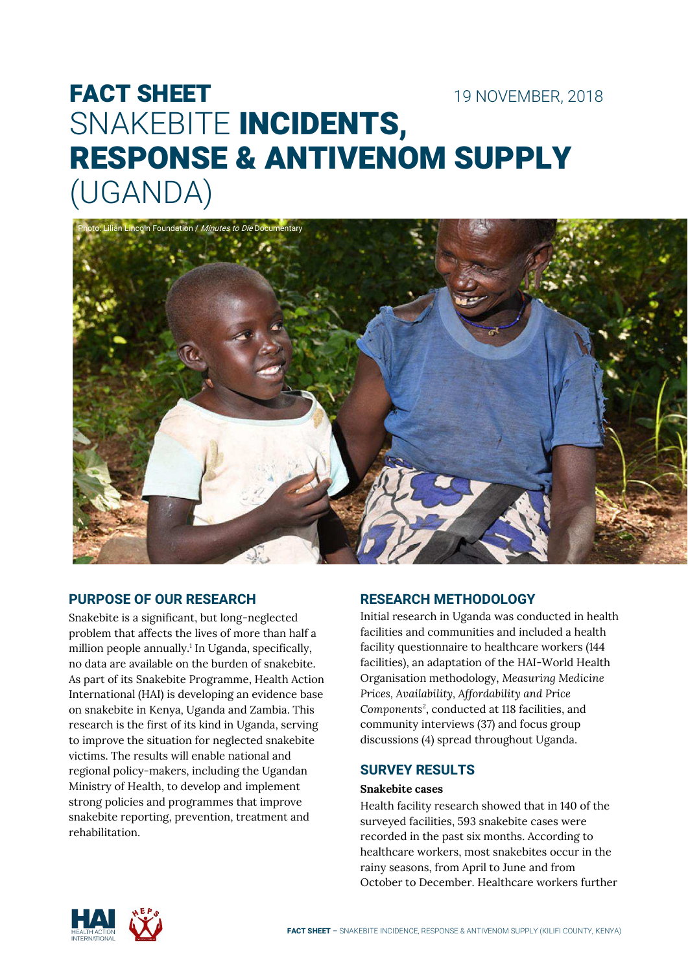# FACT SHEET 19 NOVEMBER, 2018 SNAKEBITE INCIDENTS, RESPONSE & ANTIVENOM SUPPLY (UGANDA)



# **PURPOSE OF OUR RESEARCH**

Snakebite is a significant, but long-neglected problem that affects the lives of more than half a million people annually.<sup>1</sup> In Uganda, specifically, no data are available on the burden of snakebite. As part of its Snakebite Programme, Health Action International (HAI) is developing an evidence base on snakebite in Kenya, Uganda and Zambia. This research is the first of its kind in Uganda, serving to improve the situation for neglected snakebite victims. The results will enable national and regional policy-makers, including the Ugandan Ministry of Health, to develop and implement strong policies and programmes that improve snakebite reporting, prevention, treatment and rehabilitation.

# **RESEARCH METHODOLOGY**

Initial research in Uganda was conducted in health facilities and communities and included a health facility questionnaire to healthcare workers (144 facilities), an adaptation of the HAI-World Health Organisation methodology, *Measuring Medicine Prices, Availability, Affordability and Price*  Components<sup>2</sup>, conducted at 118 facilities, and community interviews (37) and focus group discussions (4) spread throughout Uganda.

## **SURVEY RESULTS**

#### **Snakebite cases**

Health facility research showed that in 140 of the surveyed facilities, 593 snakebite cases were recorded in the past six months. According to healthcare workers, most snakebites occur in the rainy seasons, from April to June and from October to December. Healthcare workers further